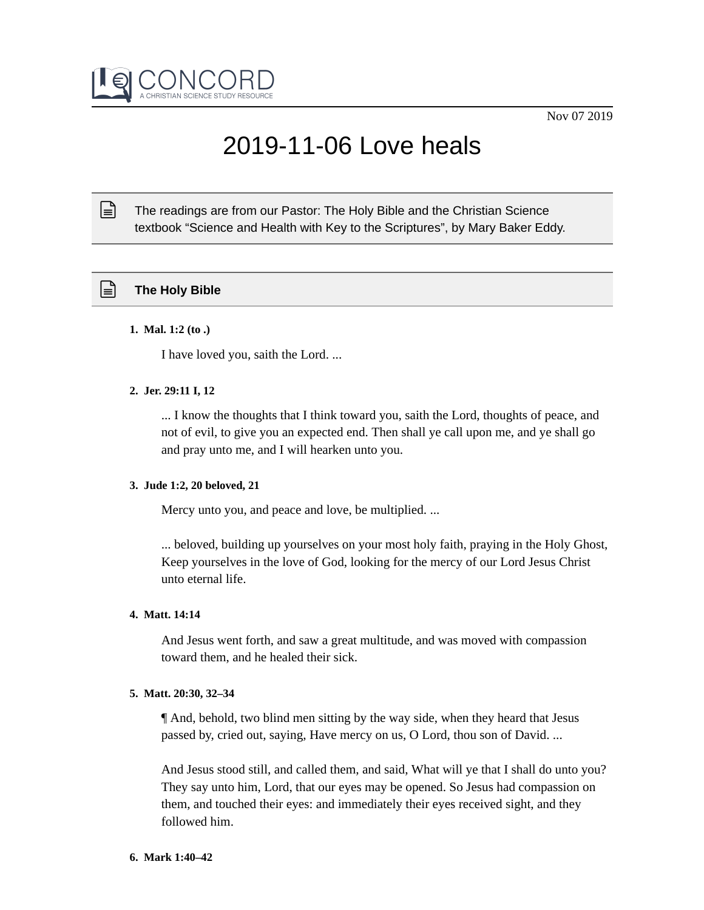

# 2019-11-06 Love heals

The readings are from our Pastor: The Holy Bible and the Christian Science textbook "Science and Health with Key to the Scriptures", by Mary Baker Eddy.

# **The Holy Bible**

 $\mathbb{R}$ 

# **1. Mal. 1:2 (to .)**

I have loved you, saith the Lord. ...

# **2. Jer. 29:11 I, 12**

... I know the thoughts that I think toward you, saith the Lord, thoughts of peace, and not of evil, to give you an expected end. Then shall ye call upon me, and ye shall go and pray unto me, and I will hearken unto you.

# **3. Jude 1:2, 20 beloved, 21**

Mercy unto you, and peace and love, be multiplied. ...

... beloved, building up yourselves on your most holy faith, praying in the Holy Ghost, Keep yourselves in the love of God, looking for the mercy of our Lord Jesus Christ unto eternal life.

# **4. Matt. 14:14**

And Jesus went forth, and saw a great multitude, and was moved with compassion toward them, and he healed their sick.

#### **5. Matt. 20:30, 32–34**

¶ And, behold, two blind men sitting by the way side, when they heard that Jesus passed by, cried out, saying, Have mercy on us, O Lord, thou son of David. ...

And Jesus stood still, and called them, and said, What will ye that I shall do unto you? They say unto him, Lord, that our eyes may be opened. So Jesus had compassion on them, and touched their eyes: and immediately their eyes received sight, and they followed him.

#### **6. Mark 1:40–42**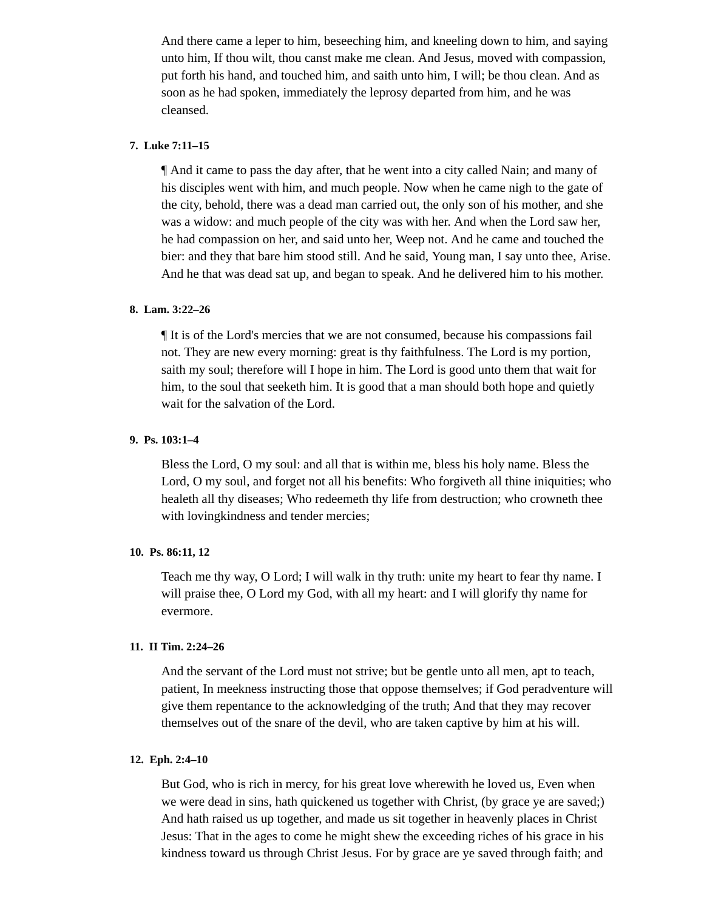And there came a leper to him, beseeching him, and kneeling down to him, and saying unto him, If thou wilt, thou canst make me clean. And Jesus, moved with compassion, put forth his hand, and touched him, and saith unto him, I will; be thou clean. And as soon as he had spoken, immediately the leprosy departed from him, and he was cleansed.

# **7. Luke 7:11–15**

¶ And it came to pass the day after, that he went into a city called Nain; and many of his disciples went with him, and much people. Now when he came nigh to the gate of the city, behold, there was a dead man carried out, the only son of his mother, and she was a widow: and much people of the city was with her. And when the Lord saw her, he had compassion on her, and said unto her, Weep not. And he came and touched the bier: and they that bare him stood still. And he said, Young man, I say unto thee, Arise. And he that was dead sat up, and began to speak. And he delivered him to his mother.

# **8. Lam. 3:22–26**

¶ It is of the Lord's mercies that we are not consumed, because his compassions fail not. They are new every morning: great is thy faithfulness. The Lord is my portion, saith my soul; therefore will I hope in him. The Lord is good unto them that wait for him, to the soul that seeketh him. It is good that a man should both hope and quietly wait for the salvation of the Lord.

## **9. Ps. 103:1–4**

Bless the Lord, O my soul: and all that is within me, bless his holy name. Bless the Lord, O my soul, and forget not all his benefits: Who forgiveth all thine iniquities; who healeth all thy diseases; Who redeemeth thy life from destruction; who crowneth thee with lovingkindness and tender mercies;

#### **10. Ps. 86:11, 12**

Teach me thy way, O Lord; I will walk in thy truth: unite my heart to fear thy name. I will praise thee, O Lord my God, with all my heart: and I will glorify thy name for evermore.

# **11. II Tim. 2:24–26**

And the servant of the Lord must not strive; but be gentle unto all men, apt to teach, patient, In meekness instructing those that oppose themselves; if God peradventure will give them repentance to the acknowledging of the truth; And that they may recover themselves out of the snare of the devil, who are taken captive by him at his will.

# **12. Eph. 2:4–10**

But God, who is rich in mercy, for his great love wherewith he loved us, Even when we were dead in sins, hath quickened us together with Christ, (by grace ye are saved;) And hath raised us up together, and made us sit together in heavenly places in Christ Jesus: That in the ages to come he might shew the exceeding riches of his grace in his kindness toward us through Christ Jesus. For by grace are ye saved through faith; and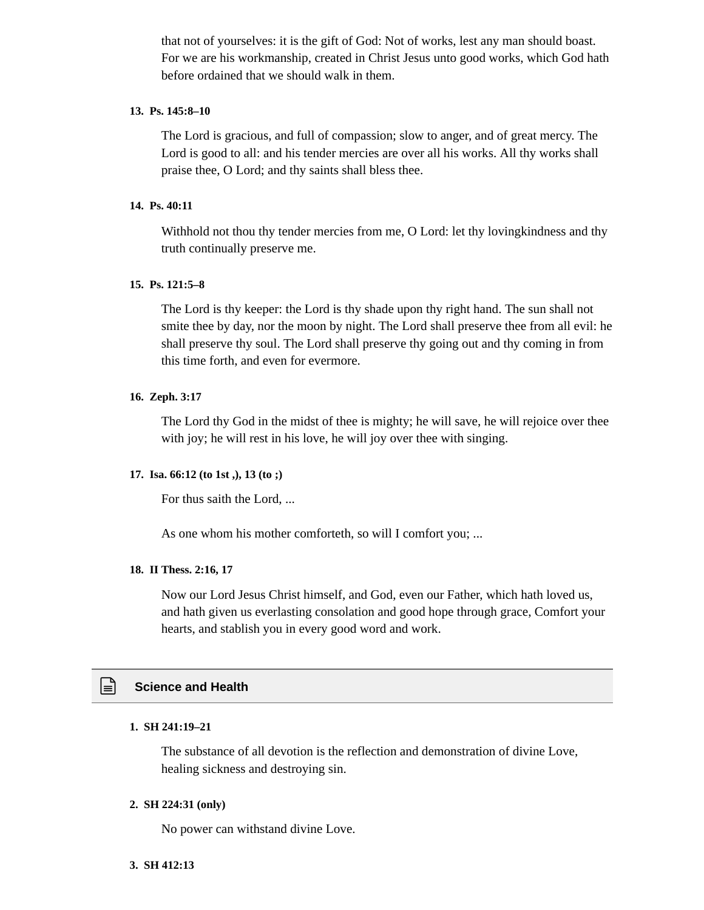that not of yourselves: it is the gift of God: Not of works, lest any man should boast. For we are his workmanship, created in Christ Jesus unto good works, which God hath before ordained that we should walk in them.

# **13. Ps. 145:8–10**

The Lord is gracious, and full of compassion; slow to anger, and of great mercy. The Lord is good to all: and his tender mercies are over all his works. All thy works shall praise thee, O Lord; and thy saints shall bless thee.

#### **14. Ps. 40:11**

Withhold not thou thy tender mercies from me, O Lord: let thy lovingkindness and thy truth continually preserve me.

## **15. Ps. 121:5–8**

The Lord is thy keeper: the Lord is thy shade upon thy right hand. The sun shall not smite thee by day, nor the moon by night. The Lord shall preserve thee from all evil: he shall preserve thy soul. The Lord shall preserve thy going out and thy coming in from this time forth, and even for evermore.

## **16. Zeph. 3:17**

The Lord thy God in the midst of thee is mighty; he will save, he will rejoice over thee with joy; he will rest in his love, he will joy over thee with singing.

## **17. Isa. 66:12 (to 1st ,), 13 (to ;)**

For thus saith the Lord, ...

As one whom his mother comforteth, so will I comfort you; ...

### **18. II Thess. 2:16, 17**

Now our Lord Jesus Christ himself, and God, even our Father, which hath loved us, and hath given us everlasting consolation and good hope through grace, Comfort your hearts, and stablish you in every good word and work.

# **Science and Health**

# **1. SH 241:19–21**

The substance of all devotion is the reflection and demonstration of divine Love, healing sickness and destroying sin.

## **2. SH 224:31 (only)**

No power can withstand divine Love.

#### **3. SH 412:13**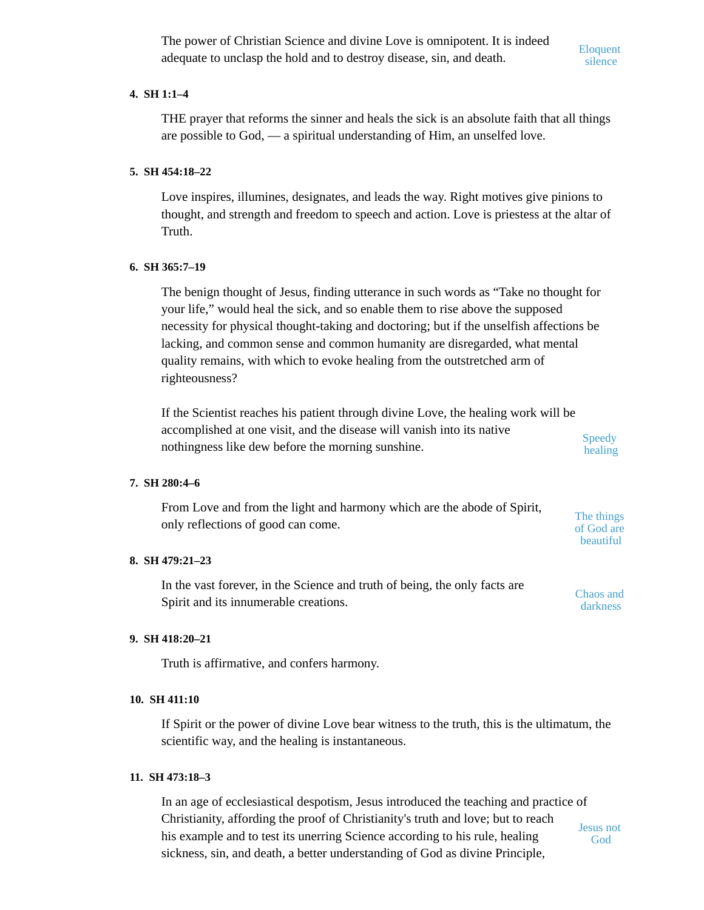The power of Christian Science and divine Love is omnipotent. It is indeed adequate to unclasp the hold and to destroy disease, sin, and death.

Eloquent silence

The things of God are beautiful

# **4. SH 1:1–4**

THE prayer that reforms the sinner and heals the sick is an absolute faith that all things are possible to God, — a spiritual understanding of Him, an unselfed love.

# **5. SH 454:18–22**

Love inspires, illumines, designates, and leads the way. Right motives give pinions to thought, and strength and freedom to speech and action. Love is priestess at the altar of Truth.

# **6. SH 365:7–19**

The benign thought of Jesus, finding utterance in such words as "Take no thought for your life," would heal the sick, and so enable them to rise above the supposed necessity for physical thought-taking and doctoring; but if the unselfish affections be lacking, and common sense and common humanity are disregarded, what mental quality remains, with which to evoke healing from the outstretched arm of righteousness?

If the Scientist reaches his patient through divine Love, the healing work will be accomplished at one visit, and the disease will vanish into its native nothingness like dew before the morning sunshine. **Speedy** healing

# **7. SH 280:4–6**

From Love and from the light and harmony which are the abode of Spirit, only reflections of good can come.

# **8. SH 479:21–23**

In the vast forever, in the Science and truth of being, the only facts are Spirit and its innumerable creations. Chaos and darkness

# **9. SH 418:20–21**

Truth is affirmative, and confers harmony.

# **10. SH 411:10**

If Spirit or the power of divine Love bear witness to the truth, this is the ultimatum, the scientific way, and the healing is instantaneous.

# **11. SH 473:18–3**

In an age of ecclesiastical despotism, Jesus introduced the teaching and practice of Christianity, affording the proof of Christianity's truth and love; but to reach his example and to test its unerring Science according to his rule, healing sickness, sin, and death, a better understanding of God as divine Principle, Jesus not God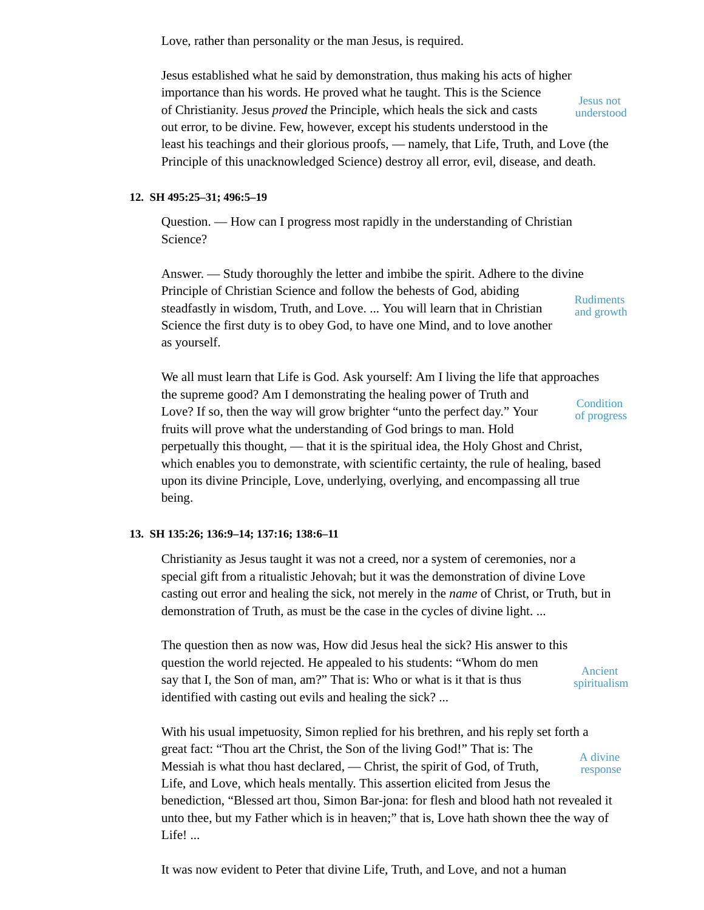Love, rather than personality or the man Jesus, is required.

Jesus established what he said by demonstration, thus making his acts of higher importance than his words. He proved what he taught. This is the Science of Christianity. Jesus *proved* the Principle, which heals the sick and casts out error, to be divine. Few, however, except his students understood in the least his teachings and their glorious proofs, — namely, that Life, Truth, and Love (the Principle of this unacknowledged Science) destroy all error, evil, disease, and death. Jesus not understood

# **12. SH 495:25–31; 496:5–19**

Question. — How can I progress most rapidly in the understanding of Christian Science?

Answer. — Study thoroughly the letter and imbibe the spirit. Adhere to the divine Principle of Christian Science and follow the behests of God, abiding steadfastly in wisdom, Truth, and Love. ... You will learn that in Christian Science the first duty is to obey God, to have one Mind, and to love another as yourself. Rudiments and growth

We all must learn that Life is God. Ask yourself: Am I living the life that approaches the supreme good? Am I demonstrating the healing power of Truth and Love? If so, then the way will grow brighter "unto the perfect day." Your fruits will prove what the understanding of God brings to man. Hold perpetually this thought, — that it is the spiritual idea, the Holy Ghost and Christ, which enables you to demonstrate, with scientific certainty, the rule of healing, based upon its divine Principle, Love, underlying, overlying, and encompassing all true being. **Condition** of progress

# **13. SH 135:26; 136:9–14; 137:16; 138:6–11**

Christianity as Jesus taught it was not a creed, nor a system of ceremonies, nor a special gift from a ritualistic Jehovah; but it was the demonstration of divine Love casting out error and healing the sick, not merely in the *name* of Christ, or Truth, but in demonstration of Truth, as must be the case in the cycles of divine light. ...

The question then as now was, How did Jesus heal the sick? His answer to this question the world rejected. He appealed to his students: "Whom do men say that I, the Son of man, am?" That is: Who or what is it that is thus identified with casting out evils and healing the sick? ... Ancient spiritualism

With his usual impetuosity, Simon replied for his brethren, and his reply set forth a great fact: "Thou art the Christ, the Son of the living God!" That is: The Messiah is what thou hast declared, — Christ, the spirit of God, of Truth, Life, and Love, which heals mentally. This assertion elicited from Jesus the benediction, "Blessed art thou, Simon Bar-jona: for flesh and blood hath not revealed it unto thee, but my Father which is in heaven;" that is, Love hath shown thee the way of Life! ... A divine response

It was now evident to Peter that divine Life, Truth, and Love, and not a human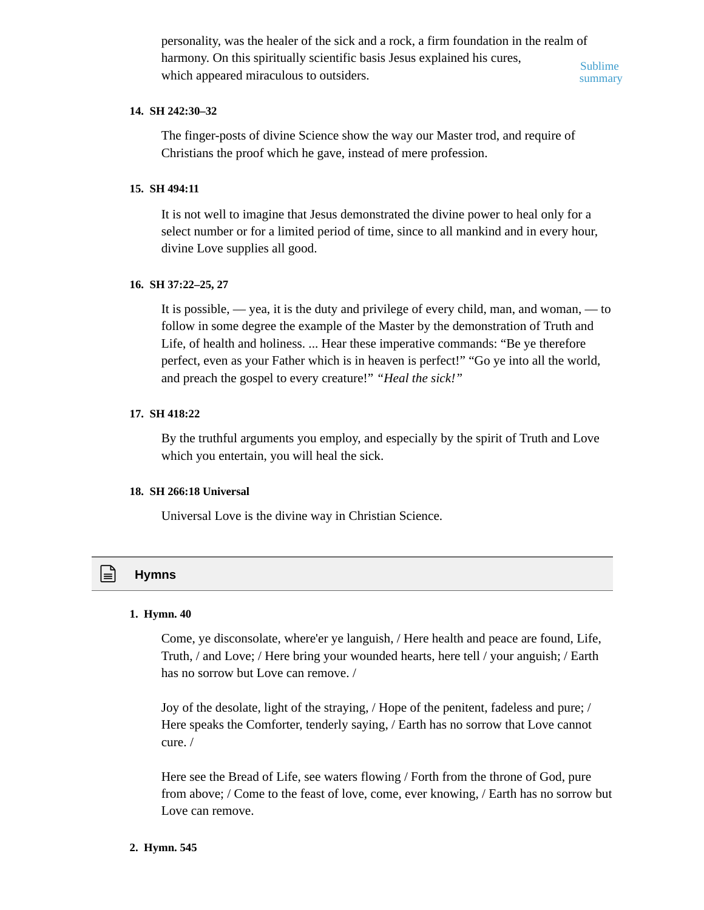personality, was the healer of the sick and a rock, a firm foundation in the realm of harmony. On this spiritually scientific basis Jesus explained his cures, which appeared miraculous to outsiders. Sublime summary

## **14. SH 242:30–32**

The finger-posts of divine Science show the way our Master trod, and require of Christians the proof which he gave, instead of mere profession.

# **15. SH 494:11**

It is not well to imagine that Jesus demonstrated the divine power to heal only for a select number or for a limited period of time, since to all mankind and in every hour, divine Love supplies all good.

#### **16. SH 37:22–25, 27**

It is possible,  $\frac{1}{1}$  yea, it is the duty and privilege of every child, man, and woman,  $\frac{1}{1}$  to follow in some degree the example of the Master by the demonstration of Truth and Life, of health and holiness. ... Hear these imperative commands: "Be ye therefore perfect, even as your Father which is in heaven is perfect!" "Go ye into all the world, and preach the gospel to every creature!" *"Heal the sick!"*

#### **17. SH 418:22**

By the truthful arguments you employ, and especially by the spirit of Truth and Love which you entertain, you will heal the sick.

## **18. SH 266:18 Universal**

Universal Love is the divine way in Christian Science.

# **Hymns**

#### **1. Hymn. 40**

Come, ye disconsolate, where'er ye languish, / Here health and peace are found, Life, Truth, / and Love; / Here bring your wounded hearts, here tell / your anguish; / Earth has no sorrow but Love can remove. /

Joy of the desolate, light of the straying, / Hope of the penitent, fadeless and pure; / Here speaks the Comforter, tenderly saying, / Earth has no sorrow that Love cannot cure. /

Here see the Bread of Life, see waters flowing / Forth from the throne of God, pure from above; / Come to the feast of love, come, ever knowing, / Earth has no sorrow but Love can remove.

#### **2. Hymn. 545**